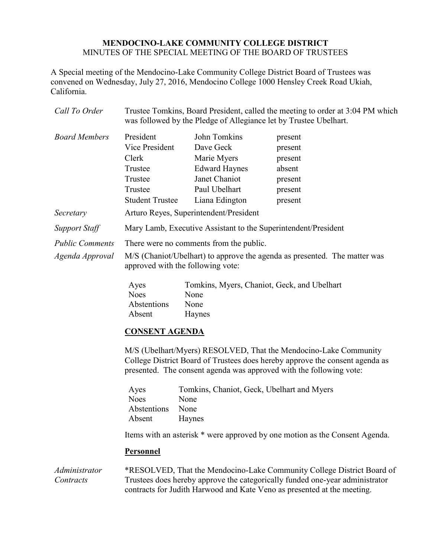## **MENDOCINO-LAKE COMMUNITY COLLEGE DISTRICT** MINUTES OF THE SPECIAL MEETING OF THE BOARD OF TRUSTEES

A Special meeting of the Mendocino-Lake Community College District Board of Trustees was convened on Wednesday, July 27, 2016, Mendocino College 1000 Hensley Creek Road Ukiah, California.

| Call To Order          |                                                                | was followed by the Pledge of Allegiance let by Trustee Ubelhart. | Trustee Tomkins, Board President, called the meeting to order at 3:04 PM which |
|------------------------|----------------------------------------------------------------|-------------------------------------------------------------------|--------------------------------------------------------------------------------|
| <b>Board Members</b>   | President                                                      | John Tomkins                                                      | present                                                                        |
|                        | Vice President                                                 | Dave Geck                                                         | present                                                                        |
|                        | Clerk                                                          | Marie Myers                                                       | present                                                                        |
|                        | Trustee                                                        | <b>Edward Haynes</b>                                              | absent                                                                         |
|                        | Trustee                                                        | Janet Chaniot                                                     | present                                                                        |
|                        | Trustee                                                        | Paul Ubelhart                                                     | present                                                                        |
|                        | <b>Student Trustee</b>                                         | Liana Edington                                                    | present                                                                        |
| Secretary              | Arturo Reyes, Superintendent/President                         |                                                                   |                                                                                |
| <b>Support Staff</b>   | Mary Lamb, Executive Assistant to the Superintendent/President |                                                                   |                                                                                |
| <b>Public Comments</b> | There were no comments from the public.                        |                                                                   |                                                                                |
| Agenda Approval        | approved with the following vote:                              |                                                                   | M/S (Chaniot/Ubelhart) to approve the agenda as presented. The matter was      |

| Ayes        | Tomkins, Myers, Chaniot, Geck, and Ubelhart |
|-------------|---------------------------------------------|
| <b>Noes</b> | <b>None</b>                                 |
| Abstentions | None                                        |
| Absent      | Haynes                                      |

## **CONSENT AGENDA**

M/S (Ubelhart/Myers) RESOLVED, That the Mendocino-Lake Community College District Board of Trustees does hereby approve the consent agenda as presented. The consent agenda was approved with the following vote:

| Ayes        | Tomkins, Chaniot, Geck, Ubelhart and Myers |
|-------------|--------------------------------------------|
| <b>Noes</b> | None                                       |
| Abstentions | None                                       |
| Absent      | <b>Haynes</b>                              |

Items with an asterisk \* were approved by one motion as the Consent Agenda.

## **Personnel**

*Administrator Contracts* \*RESOLVED, That the Mendocino-Lake Community College District Board of Trustees does hereby approve the categorically funded one-year administrator contracts for Judith Harwood and Kate Veno as presented at the meeting.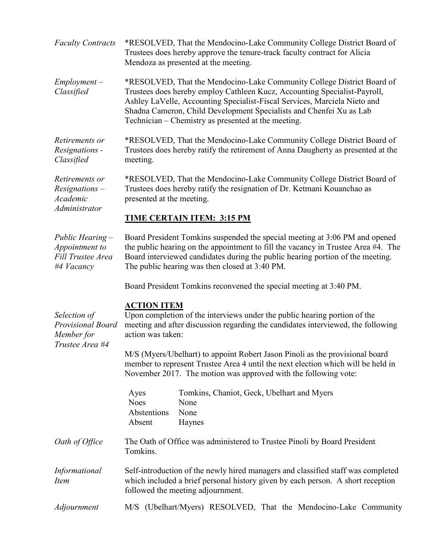| <b>Faculty Contracts</b>                                              | *RESOLVED, That the Mendocino-Lake Community College District Board of<br>Trustees does hereby approve the tenure-track faculty contract for Alicia<br>Mendoza as presented at the meeting.                                                                                                                                                                    |  |  |
|-----------------------------------------------------------------------|----------------------------------------------------------------------------------------------------------------------------------------------------------------------------------------------------------------------------------------------------------------------------------------------------------------------------------------------------------------|--|--|
| $Employment -$<br>Classified                                          | *RESOLVED, That the Mendocino-Lake Community College District Board of<br>Trustees does hereby employ Cathleen Kucz, Accounting Specialist-Payroll,<br>Ashley LaVelle, Accounting Specialist-Fiscal Services, Marciela Nieto and<br>Shadna Cameron, Child Development Specialists and Chenfei Xu as Lab<br>Technician – Chemistry as presented at the meeting. |  |  |
| Retirements or<br>Resignations -<br>Classified                        | *RESOLVED, That the Mendocino-Lake Community College District Board of<br>Trustees does hereby ratify the retirement of Anna Daugherty as presented at the<br>meeting.                                                                                                                                                                                         |  |  |
| Retirements or<br>$Resignations -$<br>Academic<br>Administrator       | *RESOLVED, That the Mendocino-Lake Community College District Board of<br>Trustees does hereby ratify the resignation of Dr. Ketmani Kouanchao as<br>presented at the meeting.                                                                                                                                                                                 |  |  |
|                                                                       | TIME CERTAIN ITEM: 3:15 PM                                                                                                                                                                                                                                                                                                                                     |  |  |
| Public Hearing -<br>Appointment to<br>Fill Trustee Area<br>#4 Vacancy | Board President Tomkins suspended the special meeting at 3:06 PM and opened<br>the public hearing on the appointment to fill the vacancy in Trustee Area #4. The<br>Board interviewed candidates during the public hearing portion of the meeting.<br>The public hearing was then closed at 3:40 PM.                                                           |  |  |
|                                                                       | Board President Tomkins reconvened the special meeting at 3:40 PM.                                                                                                                                                                                                                                                                                             |  |  |
| Selection of<br>Provisional Board<br>Member for<br>Trustee Area #4    | <b>ACTION ITEM</b><br>Upon completion of the interviews under the public hearing portion of the<br>meeting and after discussion regarding the candidates interviewed, the following<br>action was taken:                                                                                                                                                       |  |  |
|                                                                       | M/S (Myers/Ubelhart) to appoint Robert Jason Pinoli as the provisional board<br>member to represent Trustee Area 4 until the next election which will be held in<br>November 2017. The motion was approved with the following vote:                                                                                                                            |  |  |
|                                                                       | Tomkins, Chaniot, Geck, Ubelhart and Myers<br>Ayes<br><b>Noes</b><br>None<br>Abstentions<br>None<br>Absent<br>Haynes                                                                                                                                                                                                                                           |  |  |
| Oath of Office                                                        | The Oath of Office was administered to Trustee Pinoli by Board President<br>Tomkins.                                                                                                                                                                                                                                                                           |  |  |
| Informational<br><i>Item</i>                                          | Self-introduction of the newly hired managers and classified staff was completed<br>which included a brief personal history given by each person. A short reception<br>followed the meeting adjournment.                                                                                                                                                       |  |  |
| Adjournment                                                           | M/S (Ubelhart/Myers) RESOLVED, That the Mendocino-Lake Community                                                                                                                                                                                                                                                                                               |  |  |